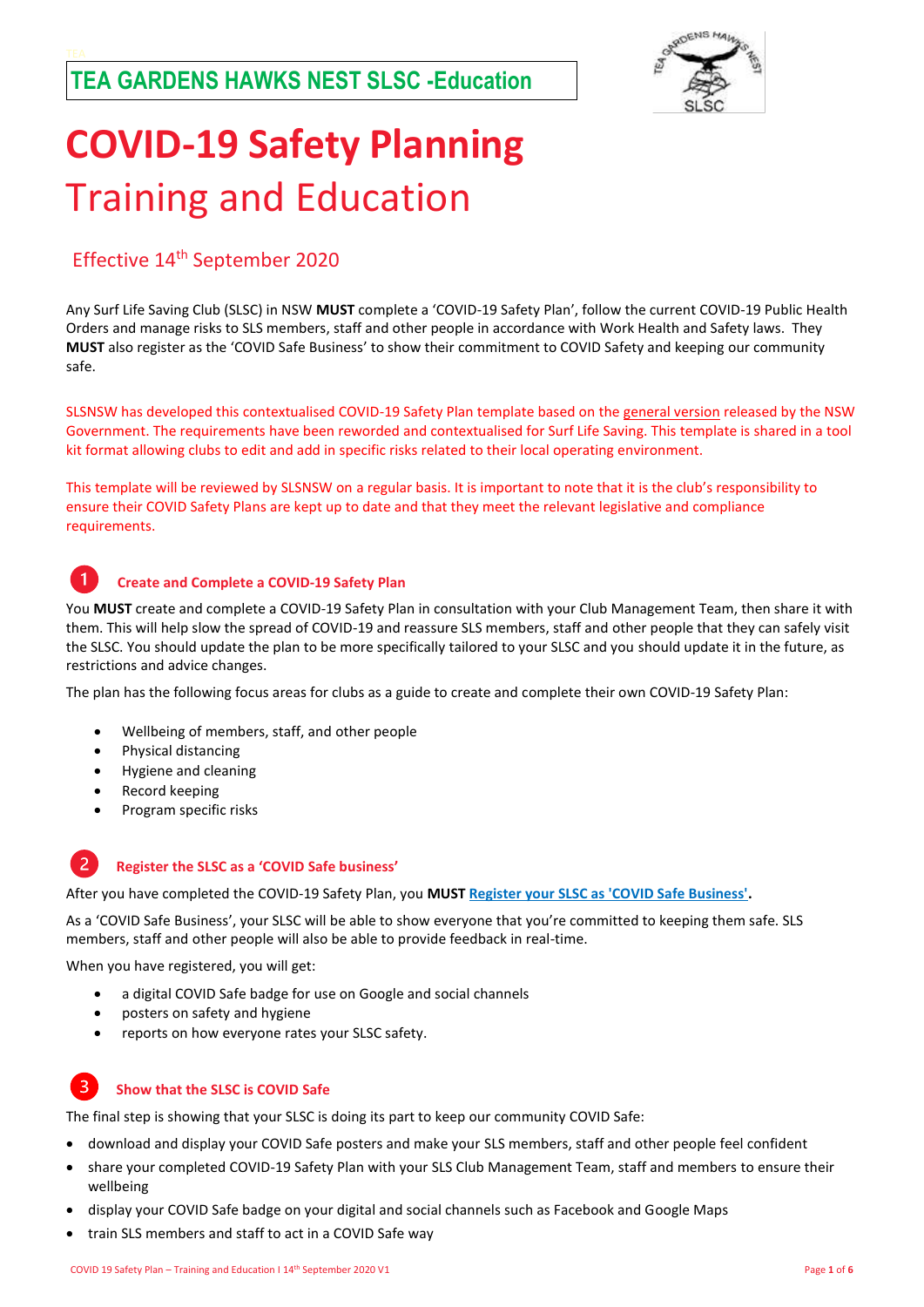

# **COVID-19 Safety Planning** Training and Education

### Effective 14th September 2020

Any Surf Life Saving Club (SLSC) in NSW **MUST** complete a 'COVID-19 Safety Plan', follow the current COVID-19 Public Health Orders and manage risks to SLS members, staff and other people in accordance with Work Health and Safety laws. They **MUST** also register as the 'COVID Safe Business' to show their commitment to COVID Safety and keeping our community safe.

SLSNSW has developed this contextualised COVID-19 Safety Plan template based on th[e general version](https://www.nsw.gov.au/covid-19/safe-workplaces/employers) released by the NSW Government. The requirements have been reworded and contextualised for Surf Life Saving. This template is shared in a tool kit format allowing clubs to edit and add in specific risks related to their local operating environment.

This template will be reviewed by SLSNSW on a regular basis. It is important to note that it is the club's responsibility to ensure their COVID Safety Plans are kept up to date and that they meet the relevant legislative and compliance requirements.

#### **Create and Complete a COVID-19 Safety Plan**

You **MUST** create and complete a COVID-19 Safety Plan in consultation with your Club Management Team, then share it with them. This will help slow the spread of COVID-19 and reassure SLS members, staff and other people that they can safely visit the SLSC. You should update the plan to be more specifically tailored to your SLSC and you should update it in the future, as restrictions and advice changes.

The plan has the following focus areas for clubs as a guide to create and complete their own COVID-19 Safety Plan:

- Wellbeing of members, staff, and other people
- Physical distancing
- Hygiene and cleaning
- Record keeping
- Program specific risks

#### 2 **Register the SLSC as a 'COVID Safe business'**

After you have completed the COVID-19 Safety Plan, you **MUST [Register your SLSC as 'COVID Safe Business'.](https://www.nsw.gov.au/register-your-business-as-covid-safe)**

As a 'COVID Safe Business', your SLSC will be able to show everyone that you're committed to keeping them safe. SLS members, staff and other people will also be able to provide feedback in real-time.

When you have registered, you will get:

- a digital COVID Safe badge for use on Google and social channels
- posters on safety and hygiene
- reports on how everyone rates your SLSC safety.

#### $\mathbf{R}$ **Show that the SLSC is COVID Safe**

The final step is showing that your SLSC is doing its part to keep our community COVID Safe:

- download and display your COVID Safe posters and make your SLS members, staff and other people feel confident
- share your completed COVID-19 Safety Plan with your SLS Club Management Team, staff and members to ensure their wellbeing
- display your COVID Safe badge on your digital and social channels such as Facebook and Google Maps
- train SLS members and staff to act in a COVID Safe way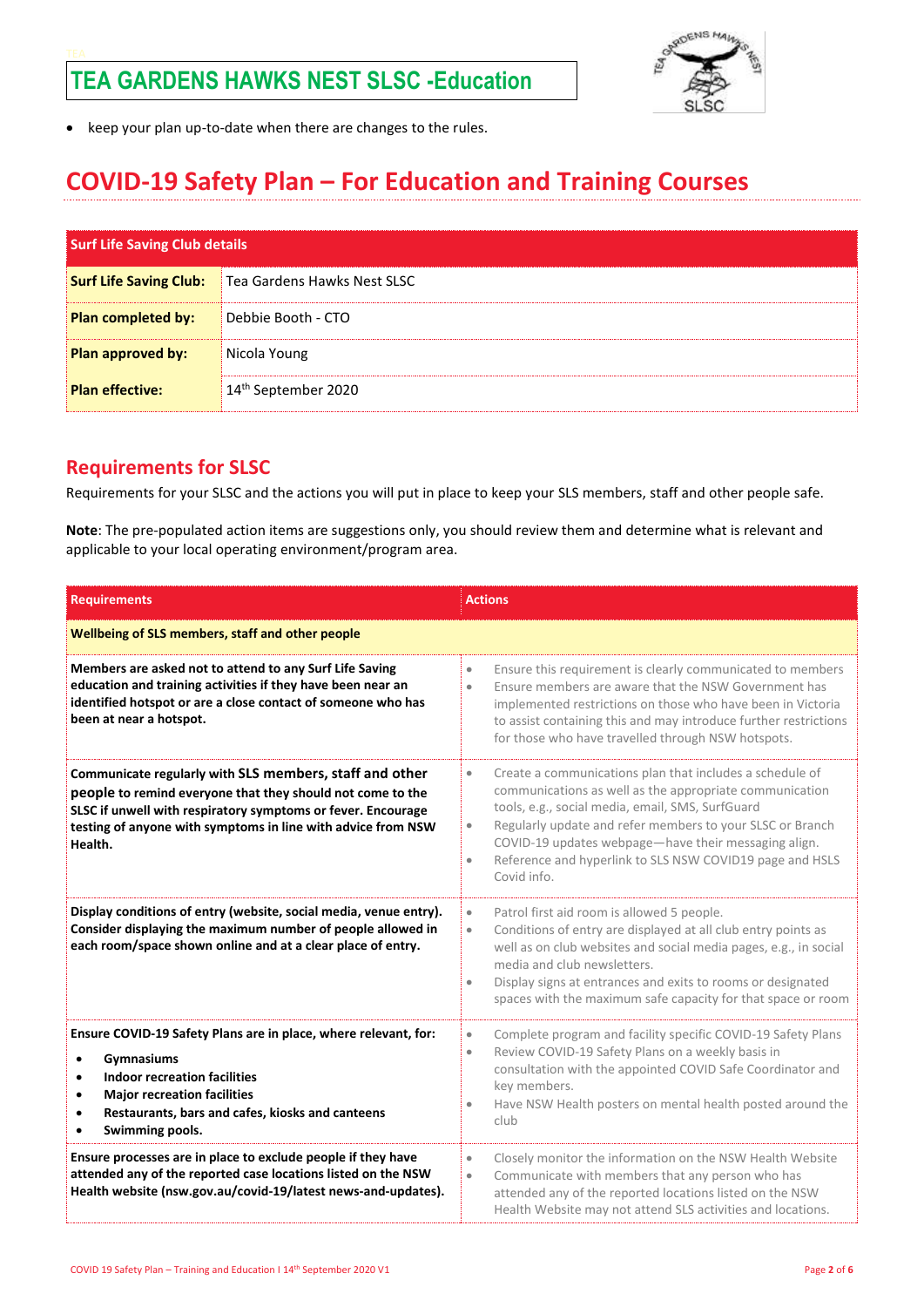

• keep your plan up-to-date when there are changes to the rules.

### **COVID-19 Safety Plan – For Education and Training Courses**

| <b>Surf Life Saving Club details</b> |                                 |
|--------------------------------------|---------------------------------|
| <b>Surf Life Saving Club:</b>        | Tea Gardens Hawks Nest SLSC     |
| Plan completed by:                   | Debbie Booth - CTO              |
| Plan approved by:                    | Nicola Young                    |
| <b>Plan effective:</b>               | 14 <sup>th</sup> September 2020 |

### **Requirements for SLSC**

Requirements for your SLSC and the actions you will put in place to keep your SLS members, staff and other people safe.

**Note**: The pre-populated action items are suggestions only, you should review them and determine what is relevant and applicable to your local operating environment/program area.

| <b>Requirements</b>                                                                                                                                                                                                                                                                          | <b>Actions</b>                                                                                                                                                                                                                                                                                                                                                                                                 |
|----------------------------------------------------------------------------------------------------------------------------------------------------------------------------------------------------------------------------------------------------------------------------------------------|----------------------------------------------------------------------------------------------------------------------------------------------------------------------------------------------------------------------------------------------------------------------------------------------------------------------------------------------------------------------------------------------------------------|
| Wellbeing of SLS members, staff and other people                                                                                                                                                                                                                                             |                                                                                                                                                                                                                                                                                                                                                                                                                |
| Members are asked not to attend to any Surf Life Saving<br>education and training activities if they have been near an<br>identified hotspot or are a close contact of someone who has<br>been at near a hotspot.                                                                            | Ensure this requirement is clearly communicated to members<br>$\bullet$<br>Ensure members are aware that the NSW Government has<br>$\bullet$<br>implemented restrictions on those who have been in Victoria<br>to assist containing this and may introduce further restrictions<br>for those who have travelled through NSW hotspots.                                                                          |
| Communicate regularly with SLS members, staff and other<br>people to remind everyone that they should not come to the<br>SLSC if unwell with respiratory symptoms or fever. Encourage<br>testing of anyone with symptoms in line with advice from NSW<br>Health.                             | Create a communications plan that includes a schedule of<br>$\bullet$<br>communications as well as the appropriate communication<br>tools, e.g., social media, email, SMS, SurfGuard<br>Regularly update and refer members to your SLSC or Branch<br>$\bullet$<br>COVID-19 updates webpage-have their messaging align.<br>Reference and hyperlink to SLS NSW COVID19 page and HSLS<br>$\bullet$<br>Covid info. |
| Display conditions of entry (website, social media, venue entry).<br>Consider displaying the maximum number of people allowed in<br>each room/space shown online and at a clear place of entry.                                                                                              | Patrol first aid room is allowed 5 people.<br>$\bullet$<br>Conditions of entry are displayed at all club entry points as<br>$\bullet$<br>well as on club websites and social media pages, e.g., in social<br>media and club newsletters.<br>Display signs at entrances and exits to rooms or designated<br>$\bullet$<br>spaces with the maximum safe capacity for that space or room                           |
| Ensure COVID-19 Safety Plans are in place, where relevant, for:<br><b>Gymnasiums</b><br><b>Indoor recreation facilities</b><br>$\bullet$<br><b>Major recreation facilities</b><br>$\bullet$<br>Restaurants, bars and cafes, kiosks and canteens<br>$\bullet$<br>Swimming pools.<br>$\bullet$ | Complete program and facility specific COVID-19 Safety Plans<br>$\bullet$<br>Review COVID-19 Safety Plans on a weekly basis in<br>$\bullet$<br>consultation with the appointed COVID Safe Coordinator and<br>key members.<br>Have NSW Health posters on mental health posted around the<br>$\bullet$<br>club                                                                                                   |
| Ensure processes are in place to exclude people if they have<br>attended any of the reported case locations listed on the NSW<br>Health website (nsw.gov.au/covid-19/latest news-and-updates).                                                                                               | Closely monitor the information on the NSW Health Website<br>$\bullet$<br>Communicate with members that any person who has<br>$\bullet$<br>attended any of the reported locations listed on the NSW<br>Health Website may not attend SLS activities and locations.                                                                                                                                             |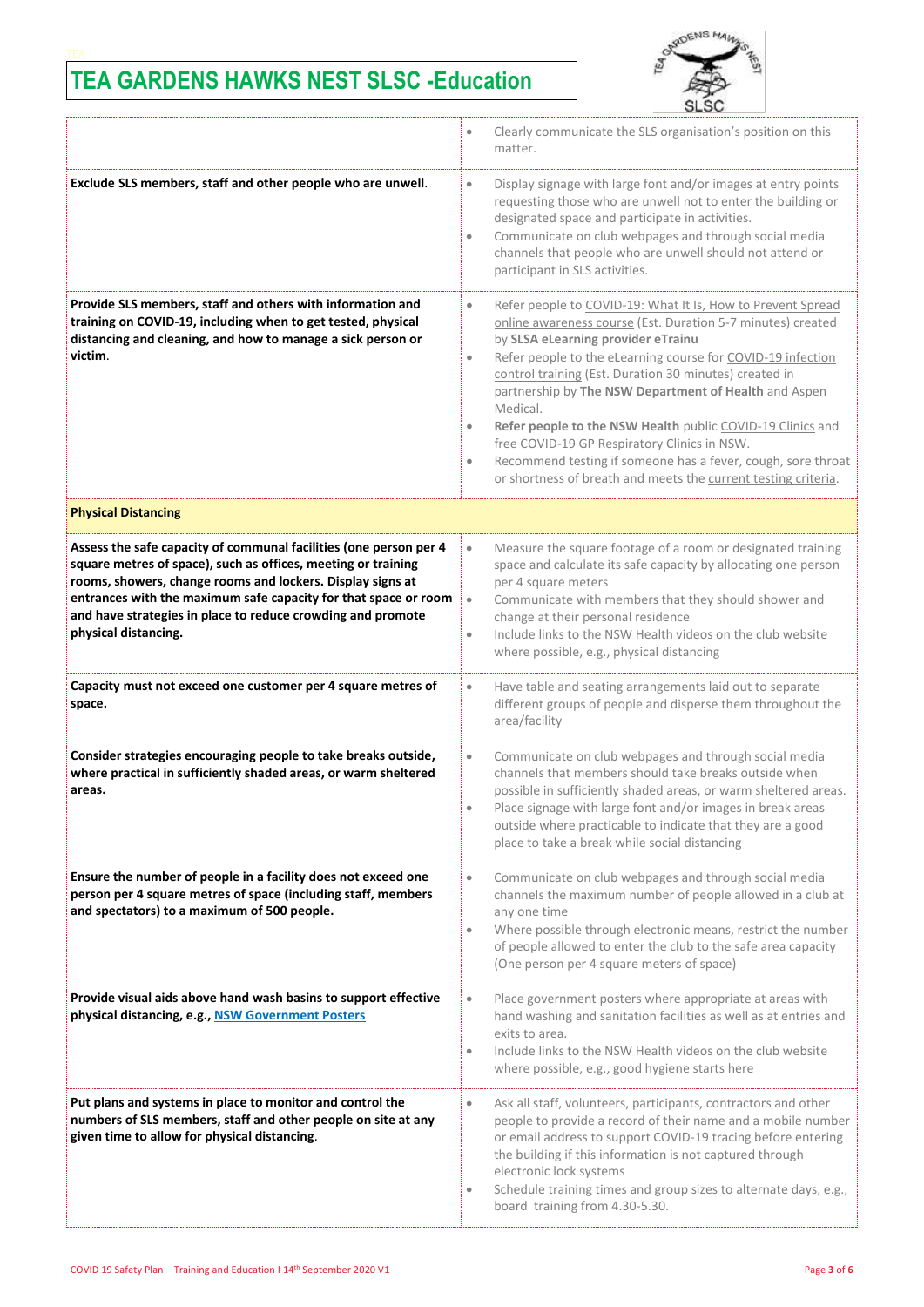

|                                                                                                                                                                                                                                                                                                                                                            | Clearly communicate the SLS organisation's position on this<br>$\bullet$<br>matter.                                                                                                                                                                                                                                                                                                                                                                                                                                                                                                                                                                                |  |
|------------------------------------------------------------------------------------------------------------------------------------------------------------------------------------------------------------------------------------------------------------------------------------------------------------------------------------------------------------|--------------------------------------------------------------------------------------------------------------------------------------------------------------------------------------------------------------------------------------------------------------------------------------------------------------------------------------------------------------------------------------------------------------------------------------------------------------------------------------------------------------------------------------------------------------------------------------------------------------------------------------------------------------------|--|
| Exclude SLS members, staff and other people who are unwell.                                                                                                                                                                                                                                                                                                | Display signage with large font and/or images at entry points<br>$\bullet$<br>requesting those who are unwell not to enter the building or<br>designated space and participate in activities.<br>Communicate on club webpages and through social media<br>$\bullet$<br>channels that people who are unwell should not attend or<br>participant in SLS activities.                                                                                                                                                                                                                                                                                                  |  |
| Provide SLS members, staff and others with information and<br>training on COVID-19, including when to get tested, physical<br>distancing and cleaning, and how to manage a sick person or<br>victim.                                                                                                                                                       | Refer people to COVID-19: What It Is, How to Prevent Spread<br>$\bullet$<br>online awareness course (Est. Duration 5-7 minutes) created<br>by SLSA eLearning provider eTrainu<br>Refer people to the eLearning course for COVID-19 infection<br>$\bullet$<br>control training (Est. Duration 30 minutes) created in<br>partnership by The NSW Department of Health and Aspen<br>Medical.<br>Refer people to the NSW Health public COVID-19 Clinics and<br>$\bullet$<br>free COVID-19 GP Respiratory Clinics in NSW.<br>Recommend testing if someone has a fever, cough, sore throat<br>$\bullet$<br>or shortness of breath and meets the current testing criteria. |  |
| <b>Physical Distancing</b>                                                                                                                                                                                                                                                                                                                                 |                                                                                                                                                                                                                                                                                                                                                                                                                                                                                                                                                                                                                                                                    |  |
| Assess the safe capacity of communal facilities (one person per 4<br>square metres of space), such as offices, meeting or training<br>rooms, showers, change rooms and lockers. Display signs at<br>entrances with the maximum safe capacity for that space or room<br>and have strategies in place to reduce crowding and promote<br>physical distancing. | Measure the square footage of a room or designated training<br>$\bullet$<br>space and calculate its safe capacity by allocating one person<br>per 4 square meters<br>Communicate with members that they should shower and<br>$\bullet$<br>change at their personal residence<br>Include links to the NSW Health videos on the club website<br>$\bullet$<br>where possible, e.g., physical distancing                                                                                                                                                                                                                                                               |  |
| Capacity must not exceed one customer per 4 square metres of<br>space.                                                                                                                                                                                                                                                                                     | Have table and seating arrangements laid out to separate<br>$\bullet$<br>different groups of people and disperse them throughout the<br>area/facility                                                                                                                                                                                                                                                                                                                                                                                                                                                                                                              |  |
| Consider strategies encouraging people to take breaks outside,<br>where practical in sufficiently shaded areas, or warm sheltered<br>areas.                                                                                                                                                                                                                | Communicate on club webpages and through social media<br>$\bullet$<br>channels that members should take breaks outside when<br>possible in sufficiently shaded areas, or warm sheltered areas.<br>Place signage with large font and/or images in break areas<br>$\bullet$<br>outside where practicable to indicate that they are a good<br>place to take a break while social distancing                                                                                                                                                                                                                                                                           |  |
| Ensure the number of people in a facility does not exceed one<br>person per 4 square metres of space (including staff, members<br>and spectators) to a maximum of 500 people.                                                                                                                                                                              | Communicate on club webpages and through social media<br>$\bullet$<br>channels the maximum number of people allowed in a club at<br>any one time<br>Where possible through electronic means, restrict the number<br>$\bullet$<br>of people allowed to enter the club to the safe area capacity<br>(One person per 4 square meters of space)                                                                                                                                                                                                                                                                                                                        |  |
| Provide visual aids above hand wash basins to support effective<br>physical distancing, e.g., NSW Government Posters                                                                                                                                                                                                                                       | Place government posters where appropriate at areas with<br>$\bullet$<br>hand washing and sanitation facilities as well as at entries and<br>exits to area.<br>Include links to the NSW Health videos on the club website<br>$\bullet$<br>where possible, e.g., good hygiene starts here                                                                                                                                                                                                                                                                                                                                                                           |  |
| Put plans and systems in place to monitor and control the<br>numbers of SLS members, staff and other people on site at any<br>given time to allow for physical distancing.                                                                                                                                                                                 | Ask all staff, volunteers, participants, contractors and other<br>$\bullet$<br>people to provide a record of their name and a mobile number<br>or email address to support COVID-19 tracing before entering<br>the building if this information is not captured through<br>electronic lock systems<br>Schedule training times and group sizes to alternate days, e.g.,<br>board training from 4.30-5.30.                                                                                                                                                                                                                                                           |  |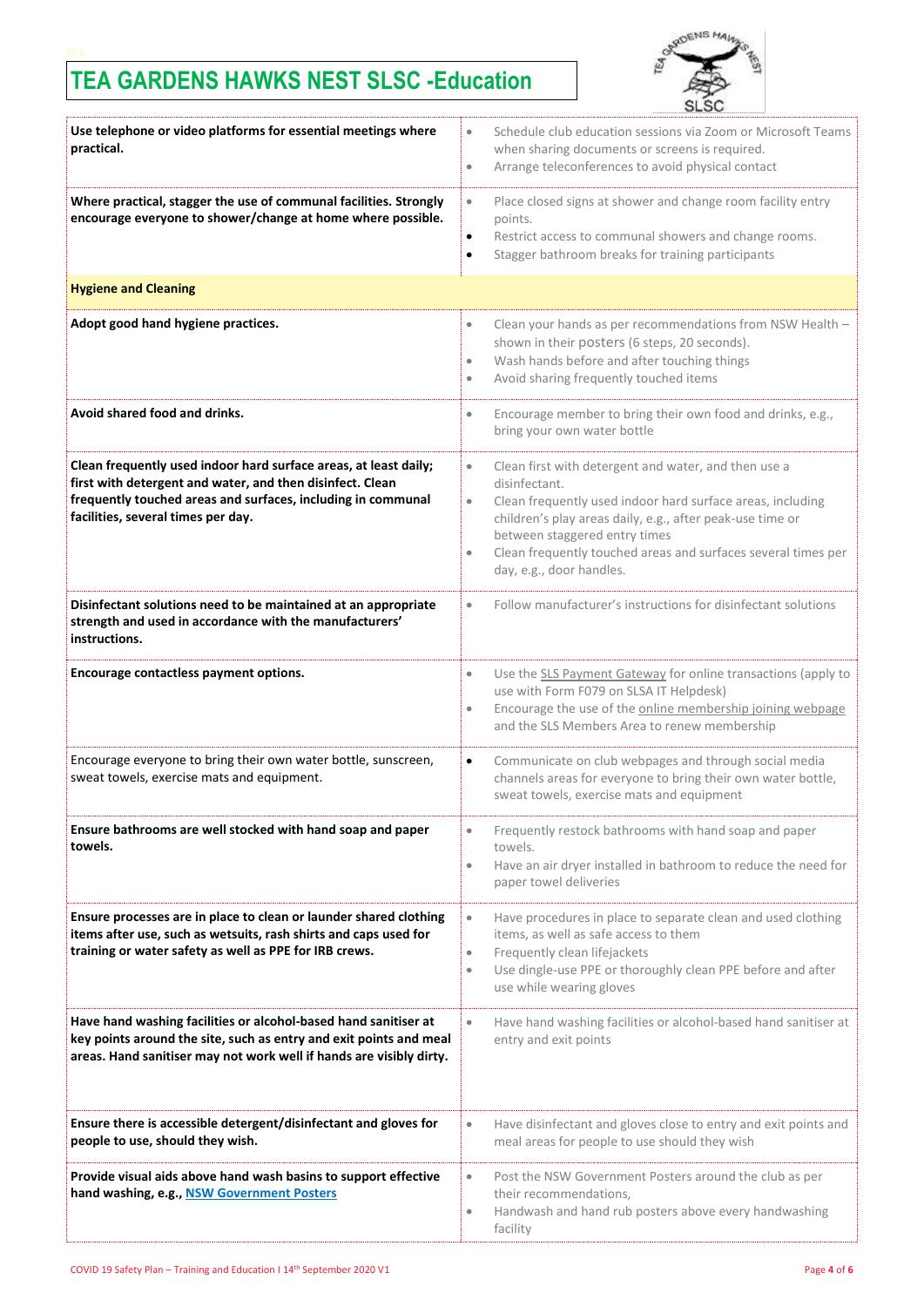

| Use telephone or video platforms for essential meetings where<br>practical.                                                                                                                                                         | Schedule club education sessions via Zoom or Microsoft Teams<br>$\bullet$<br>when sharing documents or screens is required.<br>Arrange teleconferences to avoid physical contact<br>$\bullet$                                                                                                                                                                         |
|-------------------------------------------------------------------------------------------------------------------------------------------------------------------------------------------------------------------------------------|-----------------------------------------------------------------------------------------------------------------------------------------------------------------------------------------------------------------------------------------------------------------------------------------------------------------------------------------------------------------------|
| Where practical, stagger the use of communal facilities. Strongly<br>encourage everyone to shower/change at home where possible.                                                                                                    | Place closed signs at shower and change room facility entry<br>$\bullet$<br>points.<br>Restrict access to communal showers and change rooms.<br>$\bullet$<br>Stagger bathroom breaks for training participants<br>$\bullet$                                                                                                                                           |
| <b>Hygiene and Cleaning</b>                                                                                                                                                                                                         |                                                                                                                                                                                                                                                                                                                                                                       |
| Adopt good hand hygiene practices.                                                                                                                                                                                                  | Clean your hands as per recommendations from NSW Health -<br>$\bullet$<br>shown in their posters (6 steps, 20 seconds).<br>Wash hands before and after touching things<br>$\bullet$<br>Avoid sharing frequently touched items<br>$\bullet$                                                                                                                            |
| Avoid shared food and drinks.                                                                                                                                                                                                       | Encourage member to bring their own food and drinks, e.g.,<br>$\bullet$<br>bring your own water bottle                                                                                                                                                                                                                                                                |
| Clean frequently used indoor hard surface areas, at least daily;<br>first with detergent and water, and then disinfect. Clean<br>frequently touched areas and surfaces, including in communal<br>facilities, several times per day. | Clean first with detergent and water, and then use a<br>$\bullet$<br>disinfectant.<br>Clean frequently used indoor hard surface areas, including<br>$\bullet$<br>children's play areas daily, e.g., after peak-use time or<br>between staggered entry times<br>Clean frequently touched areas and surfaces several times per<br>$\bullet$<br>day, e.g., door handles. |
| Disinfectant solutions need to be maintained at an appropriate<br>strength and used in accordance with the manufacturers'<br>instructions.                                                                                          | Follow manufacturer's instructions for disinfectant solutions<br>$\bullet$                                                                                                                                                                                                                                                                                            |
| Encourage contactless payment options.                                                                                                                                                                                              | Use the SLS Payment Gateway for online transactions (apply to<br>$\bullet$<br>use with Form F079 on SLSA IT Helpdesk)<br>Encourage the use of the online membership joining webpage<br>$\bullet$<br>and the SLS Members Area to renew membership                                                                                                                      |
| Encourage everyone to bring their own water bottle, sunscreen,<br>sweat towels, exercise mats and equipment.                                                                                                                        | Communicate on club webpages and through social media<br>$\bullet$<br>channels areas for everyone to bring their own water bottle,<br>sweat towels, exercise mats and equipment                                                                                                                                                                                       |
| Ensure bathrooms are well stocked with hand soap and paper<br>towels.                                                                                                                                                               | Frequently restock bathrooms with hand soap and paper<br>$\bullet$<br>towels.<br>Have an air dryer installed in bathroom to reduce the need for<br>$\bullet$<br>paper towel deliveries                                                                                                                                                                                |
| Ensure processes are in place to clean or launder shared clothing<br>items after use, such as wetsuits, rash shirts and caps used for<br>training or water safety as well as PPE for IRB crews.                                     | Have procedures in place to separate clean and used clothing<br>$\bullet$<br>items, as well as safe access to them<br>Frequently clean lifejackets<br>$\bullet$<br>Use dingle-use PPE or thoroughly clean PPE before and after<br>$\bullet$<br>use while wearing gloves                                                                                               |
| Have hand washing facilities or alcohol-based hand sanitiser at<br>key points around the site, such as entry and exit points and meal<br>areas. Hand sanitiser may not work well if hands are visibly dirty.                        | Have hand washing facilities or alcohol-based hand sanitiser at<br>$\bullet$<br>entry and exit points                                                                                                                                                                                                                                                                 |
| Ensure there is accessible detergent/disinfectant and gloves for<br>people to use, should they wish.                                                                                                                                | Have disinfectant and gloves close to entry and exit points and<br>$\bullet$<br>meal areas for people to use should they wish                                                                                                                                                                                                                                         |
| Provide visual aids above hand wash basins to support effective<br>hand washing, e.g., NSW Government Posters                                                                                                                       | Post the NSW Government Posters around the club as per<br>$\bullet$<br>their recommendations,<br>Handwash and hand rub posters above every handwashing<br>$\bullet$<br>facility                                                                                                                                                                                       |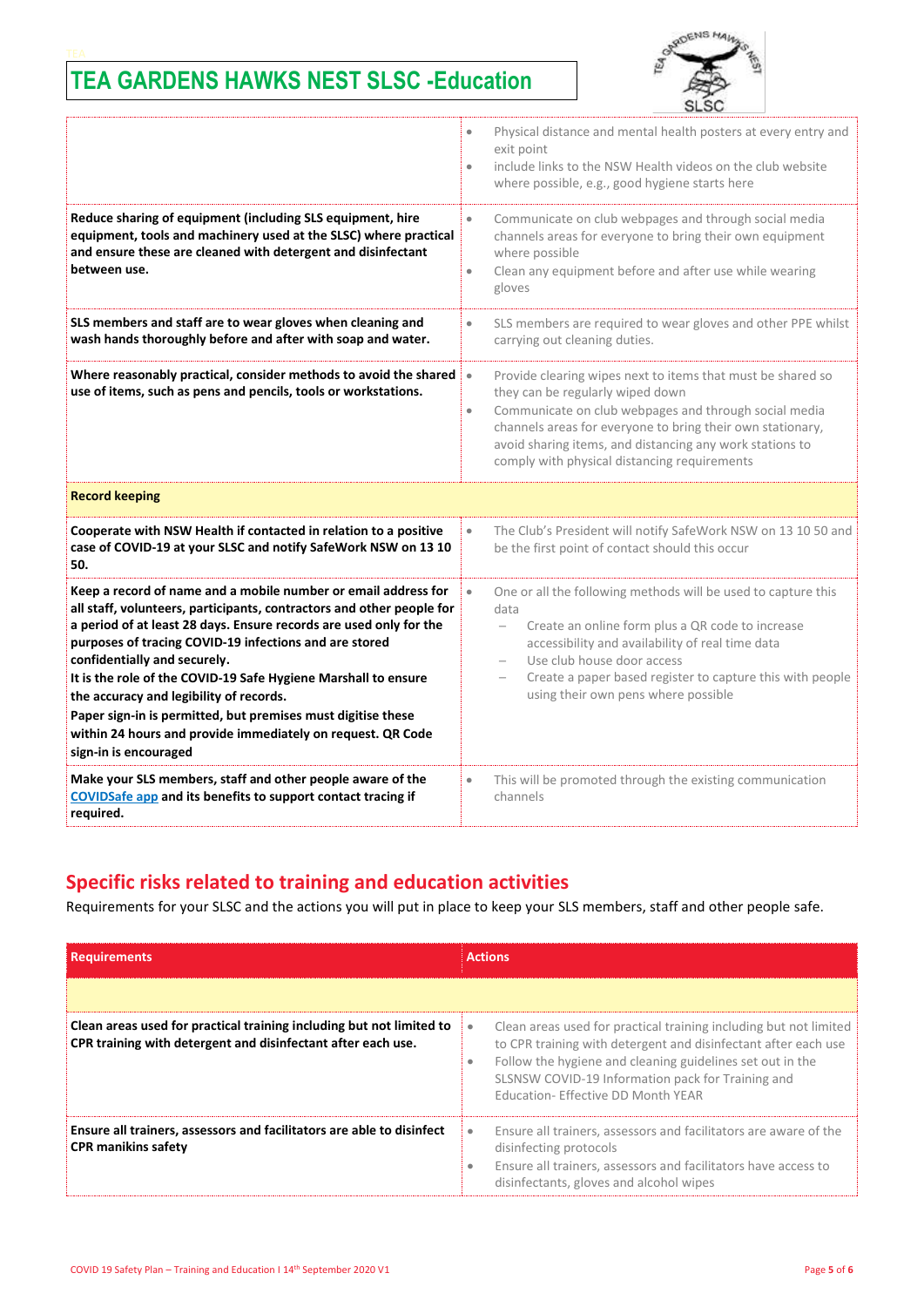

|                                                                                                                                                                                                                                                                                                                                                                                                                                                                                                                                                                              | Physical distance and mental health posters at every entry and<br>$\bullet$<br>exit point<br>include links to the NSW Health videos on the club website<br>$\bullet$<br>where possible, e.g., good hygiene starts here                                                                                                                                       |  |
|------------------------------------------------------------------------------------------------------------------------------------------------------------------------------------------------------------------------------------------------------------------------------------------------------------------------------------------------------------------------------------------------------------------------------------------------------------------------------------------------------------------------------------------------------------------------------|--------------------------------------------------------------------------------------------------------------------------------------------------------------------------------------------------------------------------------------------------------------------------------------------------------------------------------------------------------------|--|
| Reduce sharing of equipment (including SLS equipment, hire<br>equipment, tools and machinery used at the SLSC) where practical<br>and ensure these are cleaned with detergent and disinfectant<br>between use.                                                                                                                                                                                                                                                                                                                                                               | Communicate on club webpages and through social media<br>$\bullet$<br>channels areas for everyone to bring their own equipment<br>where possible<br>Clean any equipment before and after use while wearing<br>$\bullet$<br>gloves                                                                                                                            |  |
| SLS members and staff are to wear gloves when cleaning and<br>wash hands thoroughly before and after with soap and water.                                                                                                                                                                                                                                                                                                                                                                                                                                                    | SLS members are required to wear gloves and other PPE whilst<br>$\bullet$<br>carrying out cleaning duties.                                                                                                                                                                                                                                                   |  |
| Where reasonably practical, consider methods to avoid the shared<br>use of items, such as pens and pencils, tools or workstations.                                                                                                                                                                                                                                                                                                                                                                                                                                           | $\bullet$<br>Provide clearing wipes next to items that must be shared so<br>they can be regularly wiped down<br>Communicate on club webpages and through social media<br>$\bullet$<br>channels areas for everyone to bring their own stationary,<br>avoid sharing items, and distancing any work stations to<br>comply with physical distancing requirements |  |
| <b>Record keeping</b>                                                                                                                                                                                                                                                                                                                                                                                                                                                                                                                                                        |                                                                                                                                                                                                                                                                                                                                                              |  |
| Cooperate with NSW Health if contacted in relation to a positive<br>case of COVID-19 at your SLSC and notify SafeWork NSW on 13 10<br>50.                                                                                                                                                                                                                                                                                                                                                                                                                                    | The Club's President will notify SafeWork NSW on 13 10 50 and<br>$\bullet$<br>be the first point of contact should this occur                                                                                                                                                                                                                                |  |
| Keep a record of name and a mobile number or email address for<br>all staff, volunteers, participants, contractors and other people for<br>a period of at least 28 days. Ensure records are used only for the<br>purposes of tracing COVID-19 infections and are stored<br>confidentially and securely.<br>It is the role of the COVID-19 Safe Hygiene Marshall to ensure<br>the accuracy and legibility of records.<br>Paper sign-in is permitted, but premises must digitise these<br>within 24 hours and provide immediately on request. QR Code<br>sign-in is encouraged | One or all the following methods will be used to capture this<br>$\bullet$<br>data<br>Create an online form plus a QR code to increase<br>$\overline{\phantom{0}}$<br>accessibility and availability of real time data<br>Use club house door access<br>Create a paper based register to capture this with people<br>using their own pens where possible     |  |
| Make your SLS members, staff and other people aware of the<br>COVIDSafe app and its benefits to support contact tracing if<br>required.                                                                                                                                                                                                                                                                                                                                                                                                                                      | This will be promoted through the existing communication<br>$\bullet$<br>channels                                                                                                                                                                                                                                                                            |  |

### **Specific risks related to training and education activities**

Requirements for your SLSC and the actions you will put in place to keep your SLS members, staff and other people safe.

| <b>Requirements</b>                                                                                                                  | <b>Actions</b>                                                                                                                                                                                                                                                                                        |
|--------------------------------------------------------------------------------------------------------------------------------------|-------------------------------------------------------------------------------------------------------------------------------------------------------------------------------------------------------------------------------------------------------------------------------------------------------|
|                                                                                                                                      |                                                                                                                                                                                                                                                                                                       |
| Clean areas used for practical training including but not limited to<br>CPR training with detergent and disinfectant after each use. | Clean areas used for practical training including but not limited<br>۰<br>to CPR training with detergent and disinfectant after each use<br>Follow the hygiene and cleaning guidelines set out in the<br>۰<br>SLSNSW COVID-19 Information pack for Training and<br>Education- Effective DD Month YEAR |
| Ensure all trainers, assessors and facilitators are able to disinfect<br><b>CPR manikins safety</b>                                  | Ensure all trainers, assessors and facilitators are aware of the<br>۰<br>disinfecting protocols<br>Ensure all trainers, assessors and facilitators have access to<br>disinfectants, gloves and alcohol wipes                                                                                          |